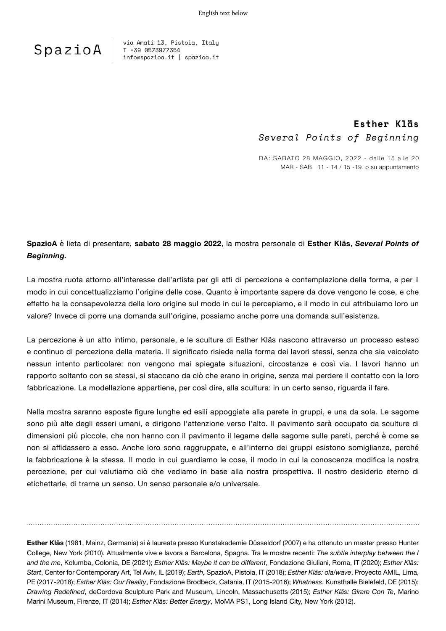

via Amati 13, Pistoia, Italy T +39 0573977354 info@spazioa.it | spazioa.it

### **Esther Kläs** *Several Points of Beginning*

da: SABATO 28 MAGGIO, 2022 - dalle 15 alle 20 MAR - SAB 11 - 14 / 15 -19 o su appuntamento

### **SpazioA** è lieta di presentare, **sabato 28 maggio 2022**, la mostra personale di **Esther Kläs**, *Several Points of Beginning.*

La mostra ruota attorno all'interesse dell'artista per gli atti di percezione e contemplazione della forma, e per il modo in cui concettualizziamo l'origine delle cose. Quanto è importante sapere da dove vengono le cose, e che effetto ha la consapevolezza della loro origine sul modo in cui le percepiamo, e il modo in cui attribuiamo loro un valore? Invece di porre una domanda sull'origine, possiamo anche porre una domanda sull'esistenza.

La percezione è un atto intimo, personale, e le sculture di Esther Kläs nascono attraverso un processo esteso e continuo di percezione della materia. Il significato risiede nella forma dei lavori stessi, senza che sia veicolato nessun intento particolare: non vengono mai spiegate situazioni, circostanze e così via. I lavori hanno un rapporto soltanto con se stessi, si staccano da ciò che erano in origine, senza mai perdere il contatto con la loro fabbricazione. La modellazione appartiene, per così dire, alla scultura: in un certo senso, riguarda il fare.

Nella mostra saranno esposte figure lunghe ed esili appoggiate alla parete in gruppi, e una da sola. Le sagome sono più alte degli esseri umani, e dirigono l'attenzione verso l'alto. Il pavimento sarà occupato da sculture di dimensioni più piccole, che non hanno con il pavimento il legame delle sagome sulle pareti, perché è come se non si affidassero a esso. Anche loro sono raggruppate, e all'interno dei gruppi esistono somiglianze, perché la fabbricazione è la stessa. Il modo in cui guardiamo le cose, il modo in cui la conoscenza modifica la nostra percezione, per cui valutiamo ciò che vediamo in base alla nostra prospettiva. Il nostro desiderio eterno di etichettarle, di trarne un senso. Un senso personale e/o universale.

**Esther Kläs** (1981, Mainz, Germania) si è laureata presso Kunstakademie Düsseldorf (2007) e ha ottenuto un master presso Hunter College, New York (2010). Attualmente vive e lavora a Barcelona, Spagna. Tra le mostre recenti: *The subtle interplay between the I and the me*, Kolumba, Colonia, DE (2021); *Esther Kläs: Maybe it can be different*, Fondazione Giuliani, Roma, IT (2020); *Esther Kläs: Start*, Center for Contemporary Art, Tel Aviv, IL (2019); *Earth,* SpazioA, Pistoia, IT (2018); *Esther Kläs: ola/wave*, Proyecto AMIL, Lima, PE (2017-2018); *Esther Kläs: Our Reality*, Fondazione Brodbeck, Catania, IT (2015-2016); *Whatness*, Kunsthalle Bielefeld, DE (2015); *Drawing Redefined*, deCordova Sculpture Park and Museum, Lincoln, Massachusetts (2015); *Esther Kläs: Girare Con Te*, Marino Marini Museum, Firenze, IT (2014); *Esther Kläs: Better Energy*, MoMA PS1, Long Island City, New York (2012).